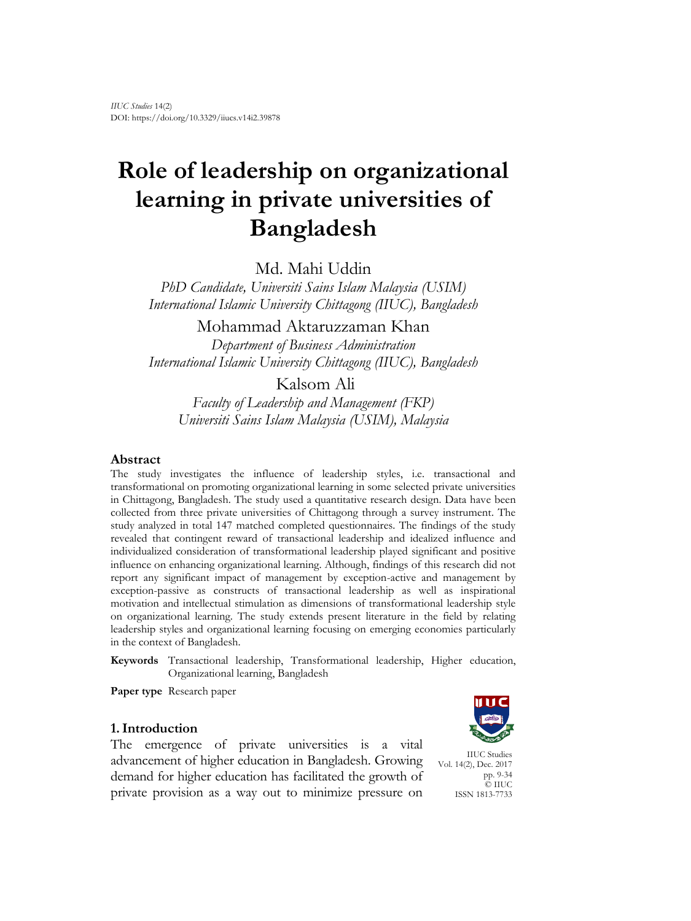# **Role of leadership on organizational learning in private universities of Bangladesh**

Md. Mahi Uddin

*PhD Candidate, Universiti Sains Islam Malaysia (USIM) International Islamic University Chittagong (IIUC), Bangladesh*

Mohammad Aktaruzzaman Khan

*Department of Business Administration International Islamic University Chittagong (IIUC), Bangladesh*

# Kalsom Ali

*Faculty of Leadership and Management (FKP) Universiti Sains Islam Malaysia (USIM), Malaysia*

# **Abstract**

The study investigates the influence of leadership styles, i.e. transactional and transformational on promoting organizational learning in some selected private universities in Chittagong, Bangladesh. The study used a quantitative research design. Data have been collected from three private universities of Chittagong through a survey instrument. The study analyzed in total 147 matched completed questionnaires. The findings of the study revealed that contingent reward of transactional leadership and idealized influence and individualized consideration of transformational leadership played significant and positive influence on enhancing organizational learning. Although, findings of this research did not report any significant impact of management by exception-active and management by exception-passive as constructs of transactional leadership as well as inspirational motivation and intellectual stimulation as dimensions of transformational leadership style on organizational learning. The study extends present literature in the field by relating leadership styles and organizational learning focusing on emerging economies particularly in the context of Bangladesh.

**Keywords** Transactional leadership, Transformational leadership, Higher education, Organizational learning, Bangladesh

**Paper type** Research paper

#### **1.Introduction**

The emergence of private universities is a vital advancement of higher education in Bangladesh. Growing demand for higher education has facilitated the growth of private provision as a way out to minimize pressure on



IIUC Studies Vol. 14(2), Dec. 2017 pp. 9-34 © IIUC ISSN 1813-7733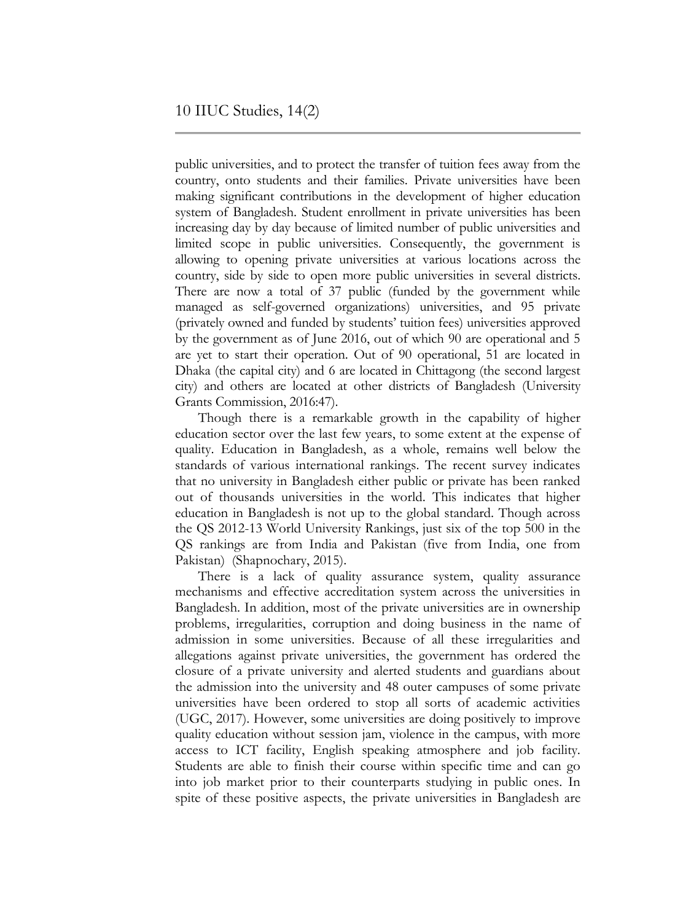public universities, and to protect the transfer of tuition fees away from the country, onto students and their families. Private universities have been making significant contributions in the development of higher education system of Bangladesh. Student enrollment in private universities has been increasing day by day because of limited number of public universities and limited scope in public universities. Consequently, the government is allowing to opening private universities at various locations across the country, side by side to open more public universities in several districts. There are now a total of 37 public (funded by the government while managed as self-governed organizations) universities, and 95 private (privately owned and funded by students" tuition fees) universities approved by the government as of June 2016, out of which 90 are operational and 5 are yet to start their operation. Out of 90 operational, 51 are located in Dhaka (the capital city) and 6 are located in Chittagong (the second largest city) and others are located at other districts of Bangladesh (University Grants Commission, 2016:47).

Though there is a remarkable growth in the capability of higher education sector over the last few years, to some extent at the expense of quality. Education in Bangladesh, as a whole, remains well below the standards of various international rankings. The recent survey indicates that no university in Bangladesh either public or private has been ranked out of thousands universities in the world. This indicates that higher education in Bangladesh is not up to the global standard. Though across the QS 2012-13 World University Rankings, just six of the top 500 in the QS rankings are from India and Pakistan (five from India, one from Pakistan) (Shapnochary, 2015).

There is a lack of quality assurance system, quality assurance mechanisms and effective accreditation system across the universities in Bangladesh. In addition, most of the private universities are in ownership problems, irregularities, corruption and doing business in the name of admission in some universities. Because of all these irregularities and allegations against private universities, the government has ordered the closure of a private university and alerted students and guardians about the admission into the university and 48 outer campuses of some private universities have been ordered to stop all sorts of academic activities (UGC, 2017). However, some universities are doing positively to improve quality education without session jam, violence in the campus, with more access to ICT facility, English speaking atmosphere and job facility. Students are able to finish their course within specific time and can go into job market prior to their counterparts studying in public ones. In spite of these positive aspects, the private universities in Bangladesh are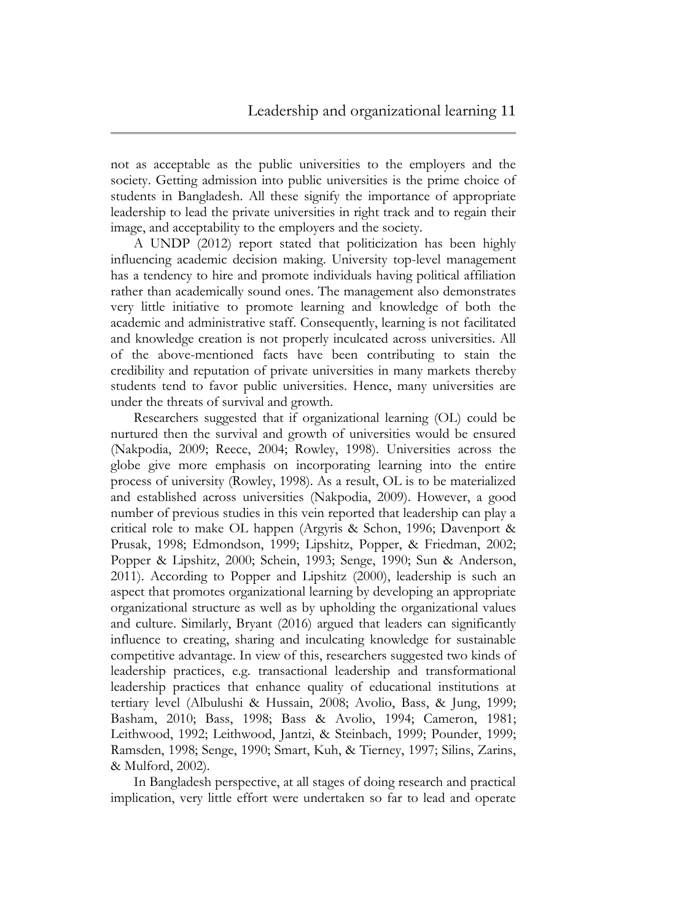not as acceptable as the public universities to the employers and the society. Getting admission into public universities is the prime choice of students in Bangladesh. All these signify the importance of appropriate leadership to lead the private universities in right track and to regain their image, and acceptability to the employers and the society.

A UNDP (2012) report stated that politicization has been highly influencing academic decision making. University top-level management has a tendency to hire and promote individuals having political affiliation rather than academically sound ones. The management also demonstrates very little initiative to promote learning and knowledge of both the academic and administrative staff. Consequently, learning is not facilitated and knowledge creation is not properly inculcated across universities. All of the above-mentioned facts have been contributing to stain the credibility and reputation of private universities in many markets thereby students tend to favor public universities. Hence, many universities are under the threats of survival and growth.

Researchers suggested that if organizational learning (OL) could be nurtured then the survival and growth of universities would be ensured (Nakpodia, 2009; Reece, 2004; Rowley, 1998). Universities across the globe give more emphasis on incorporating learning into the entire process of university (Rowley, 1998). As a result, OL is to be materialized and established across universities (Nakpodia, 2009). However, a good number of previous studies in this vein reported that leadership can play a critical role to make OL happen (Argyris & Schon, 1996; Davenport & Prusak, 1998; Edmondson, 1999; Lipshitz, Popper, & Friedman, 2002; Popper & Lipshitz, 2000; Schein, 1993; Senge, 1990; Sun & Anderson, 2011). According to Popper and Lipshitz (2000), leadership is such an aspect that promotes organizational learning by developing an appropriate organizational structure as well as by upholding the organizational values and culture. Similarly, Bryant (2016) argued that leaders can significantly influence to creating, sharing and inculcating knowledge for sustainable competitive advantage. In view of this, researchers suggested two kinds of leadership practices, e.g. transactional leadership and transformational leadership practices that enhance quality of educational institutions at tertiary level (Albulushi & Hussain, 2008; Avolio, Bass, & Jung, 1999; Basham, 2010; Bass, 1998; Bass & Avolio, 1994; Cameron, 1981; Leithwood, 1992; Leithwood, Jantzi, & Steinbach, 1999; Pounder, 1999; Ramsden, 1998; Senge, 1990; Smart, Kuh, & Tierney, 1997; Silins, Zarins, & Mulford, 2002).

In Bangladesh perspective, at all stages of doing research and practical implication, very little effort were undertaken so far to lead and operate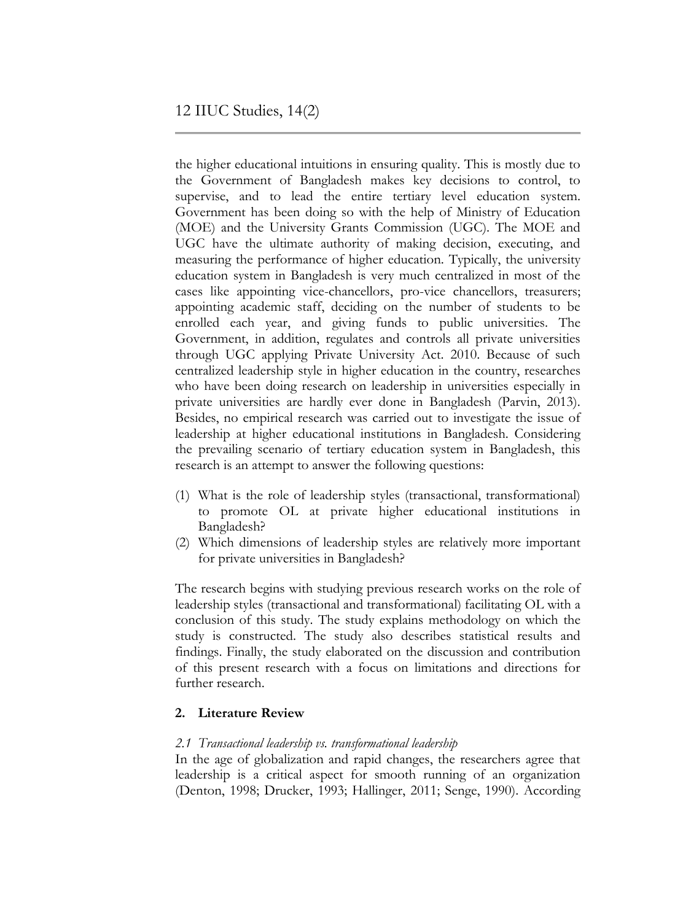the higher educational intuitions in ensuring quality. This is mostly due to the Government of Bangladesh makes key decisions to control, to supervise, and to lead the entire tertiary level education system. Government has been doing so with the help of Ministry of Education (MOE) and the University Grants Commission (UGC). The MOE and UGC have the ultimate authority of making decision, executing, and measuring the performance of higher education. Typically, the university education system in Bangladesh is very much centralized in most of the cases like appointing vice-chancellors, pro-vice chancellors, treasurers; appointing academic staff, deciding on the number of students to be enrolled each year, and giving funds to public universities. The Government, in addition, regulates and controls all private universities through UGC applying Private University Act. 2010. Because of such centralized leadership style in higher education in the country, researches who have been doing research on leadership in universities especially in private universities are hardly ever done in Bangladesh (Parvin, 2013). Besides, no empirical research was carried out to investigate the issue of leadership at higher educational institutions in Bangladesh. Considering the prevailing scenario of tertiary education system in Bangladesh, this research is an attempt to answer the following questions:

- (1) What is the role of leadership styles (transactional, transformational) to promote OL at private higher educational institutions in Bangladesh?
- (2) Which dimensions of leadership styles are relatively more important for private universities in Bangladesh?

The research begins with studying previous research works on the role of leadership styles (transactional and transformational) facilitating OL with a conclusion of this study. The study explains methodology on which the study is constructed. The study also describes statistical results and findings. Finally, the study elaborated on the discussion and contribution of this present research with a focus on limitations and directions for further research.

# **2. Literature Review**

#### *2.1 Transactional leadership vs. transformational leadership*

In the age of globalization and rapid changes, the researchers agree that leadership is a critical aspect for smooth running of an organization (Denton, 1998; Drucker, 1993; Hallinger, 2011; Senge, 1990). According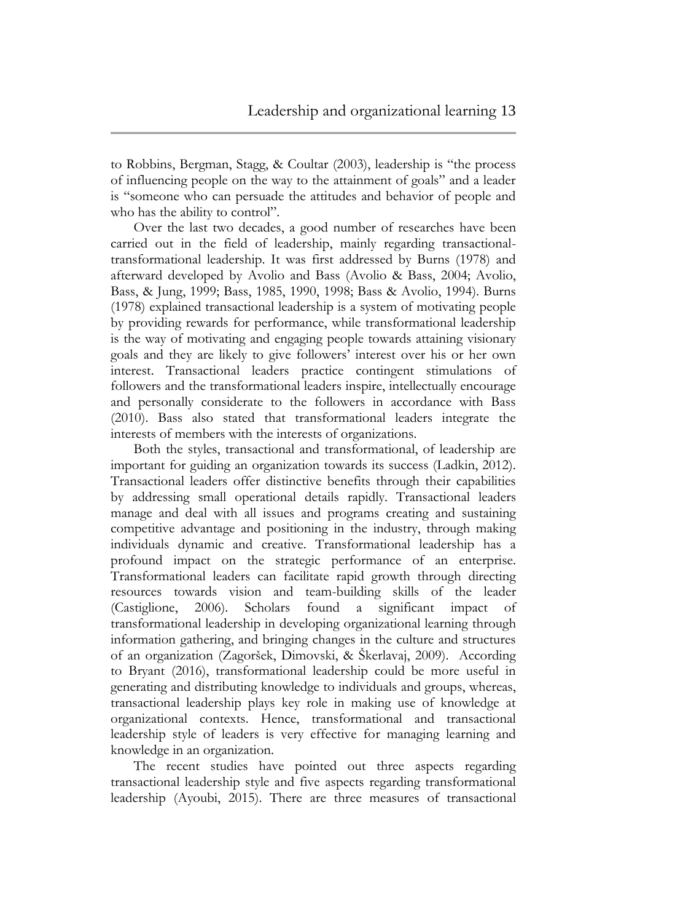to Robbins, Bergman, Stagg, & Coultar (2003), leadership is "the process of influencing people on the way to the attainment of goals" and a leader is "someone who can persuade the attitudes and behavior of people and who has the ability to control".

Over the last two decades, a good number of researches have been carried out in the field of leadership, mainly regarding transactionaltransformational leadership. It was first addressed by Burns (1978) and afterward developed by Avolio and Bass (Avolio & Bass, 2004; Avolio, Bass, & Jung, 1999; Bass, 1985, 1990, 1998; Bass & Avolio, 1994). Burns (1978) explained transactional leadership is a system of motivating people by providing rewards for performance, while transformational leadership is the way of motivating and engaging people towards attaining visionary goals and they are likely to give followers" interest over his or her own interest. Transactional leaders practice contingent stimulations of followers and the transformational leaders inspire, intellectually encourage and personally considerate to the followers in accordance with Bass (2010). Bass also stated that transformational leaders integrate the interests of members with the interests of organizations.

Both the styles, transactional and transformational, of leadership are important for guiding an organization towards its success (Ladkin, 2012). Transactional leaders offer distinctive benefits through their capabilities by addressing small operational details rapidly. Transactional leaders manage and deal with all issues and programs creating and sustaining competitive advantage and positioning in the industry, through making individuals dynamic and creative. Transformational leadership has a profound impact on the strategic performance of an enterprise. Transformational leaders can facilitate rapid growth through directing resources towards vision and team-building skills of the leader (Castiglione, 2006). Scholars found a significant impact of transformational leadership in developing organizational learning through information gathering, and bringing changes in the culture and structures of an organization (Zagoršek, Dimovski, & Škerlavaj, 2009). According to Bryant (2016), transformational leadership could be more useful in generating and distributing knowledge to individuals and groups, whereas, transactional leadership plays key role in making use of knowledge at organizational contexts. Hence, transformational and transactional leadership style of leaders is very effective for managing learning and knowledge in an organization.

The recent studies have pointed out three aspects regarding transactional leadership style and five aspects regarding transformational leadership (Ayoubi, 2015). There are three measures of transactional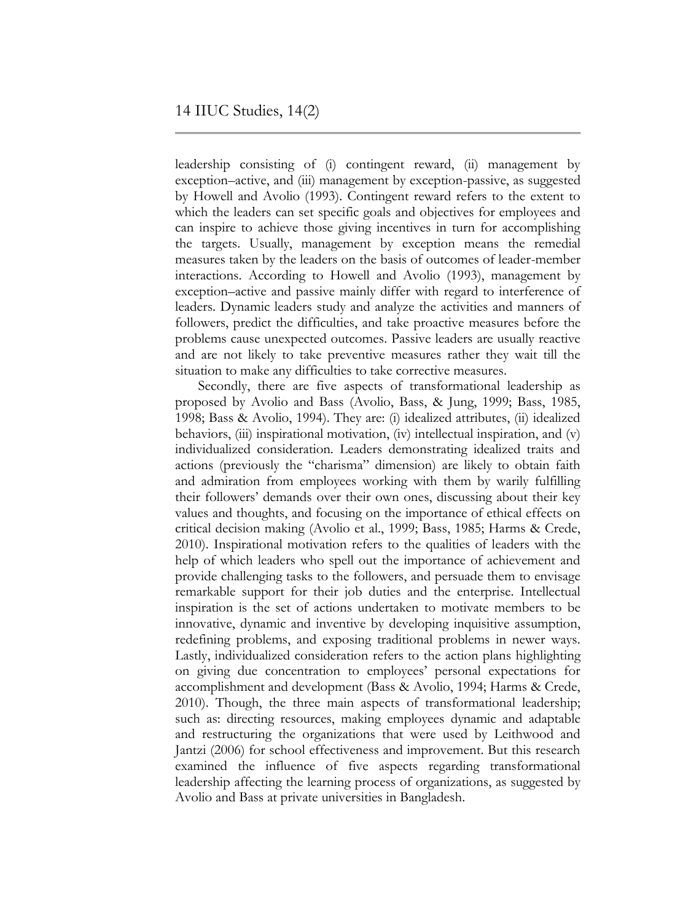leadership consisting of (i) contingent reward, (ii) management by exception–active, and (iii) management by exception-passive, as suggested by Howell and Avolio (1993). Contingent reward refers to the extent to which the leaders can set specific goals and objectives for employees and can inspire to achieve those giving incentives in turn for accomplishing the targets. Usually, management by exception means the remedial measures taken by the leaders on the basis of outcomes of leader-member interactions. According to Howell and Avolio (1993), management by exception–active and passive mainly differ with regard to interference of leaders. Dynamic leaders study and analyze the activities and manners of followers, predict the difficulties, and take proactive measures before the problems cause unexpected outcomes. Passive leaders are usually reactive and are not likely to take preventive measures rather they wait till the situation to make any difficulties to take corrective measures.

Secondly, there are five aspects of transformational leadership as proposed by Avolio and Bass (Avolio, Bass, & Jung, 1999; Bass, 1985, 1998; Bass & Avolio, 1994). They are: (i) idealized attributes, (ii) idealized behaviors, (iii) inspirational motivation, (iv) intellectual inspiration, and (v) individualized consideration. Leaders demonstrating idealized traits and actions (previously the "charisma" dimension) are likely to obtain faith and admiration from employees working with them by warily fulfilling their followers" demands over their own ones, discussing about their key values and thoughts, and focusing on the importance of ethical effects on critical decision making (Avolio et al., 1999; Bass, 1985; Harms & Crede, 2010). Inspirational motivation refers to the qualities of leaders with the help of which leaders who spell out the importance of achievement and provide challenging tasks to the followers, and persuade them to envisage remarkable support for their job duties and the enterprise. Intellectual inspiration is the set of actions undertaken to motivate members to be innovative, dynamic and inventive by developing inquisitive assumption, redefining problems, and exposing traditional problems in newer ways. Lastly, individualized consideration refers to the action plans highlighting on giving due concentration to employees" personal expectations for accomplishment and development (Bass & Avolio, 1994; Harms & Crede, 2010). Though, the three main aspects of transformational leadership; such as: directing resources, making employees dynamic and adaptable and restructuring the organizations that were used by Leithwood and Jantzi (2006) for school effectiveness and improvement. But this research examined the influence of five aspects regarding transformational leadership affecting the learning process of organizations, as suggested by Avolio and Bass at private universities in Bangladesh.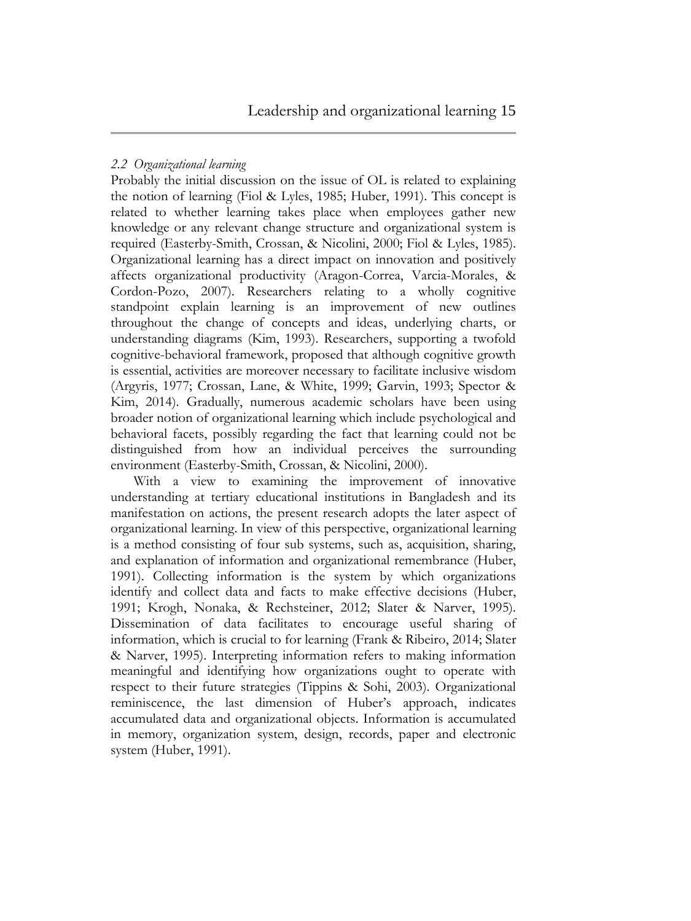# *2.2 Organizational learning*

Probably the initial discussion on the issue of OL is related to explaining the notion of learning (Fiol & Lyles, 1985; Huber, 1991). This concept is related to whether learning takes place when employees gather new knowledge or any relevant change structure and organizational system is required (Easterby-Smith, Crossan, & Nicolini, 2000; Fiol & Lyles, 1985). Organizational learning has a direct impact on innovation and positively affects organizational productivity (Aragon-Correa, Varcia-Morales, & Cordon-Pozo, 2007). Researchers relating to a wholly cognitive standpoint explain learning is an improvement of new outlines throughout the change of concepts and ideas, underlying charts, or understanding diagrams (Kim, 1993). Researchers, supporting a twofold cognitive-behavioral framework, proposed that although cognitive growth is essential, activities are moreover necessary to facilitate inclusive wisdom (Argyris, 1977; Crossan, Lane, & White, 1999; Garvin, 1993; Spector & Kim, 2014). Gradually, numerous academic scholars have been using broader notion of organizational learning which include psychological and behavioral facets, possibly regarding the fact that learning could not be distinguished from how an individual perceives the surrounding environment (Easterby-Smith, Crossan, & Nicolini, 2000).

With a view to examining the improvement of innovative understanding at tertiary educational institutions in Bangladesh and its manifestation on actions, the present research adopts the later aspect of organizational learning. In view of this perspective, organizational learning is a method consisting of four sub systems, such as, acquisition, sharing, and explanation of information and organizational remembrance (Huber, 1991). Collecting information is the system by which organizations identify and collect data and facts to make effective decisions (Huber, 1991; Krogh, Nonaka, & Rechsteiner, 2012; Slater & Narver, 1995). Dissemination of data facilitates to encourage useful sharing of information, which is crucial to for learning (Frank & Ribeiro, 2014; Slater & Narver, 1995). Interpreting information refers to making information meaningful and identifying how organizations ought to operate with respect to their future strategies (Tippins & Sohi, 2003). Organizational reminiscence, the last dimension of Huber's approach, indicates accumulated data and organizational objects. Information is accumulated in memory, organization system, design, records, paper and electronic system (Huber, 1991).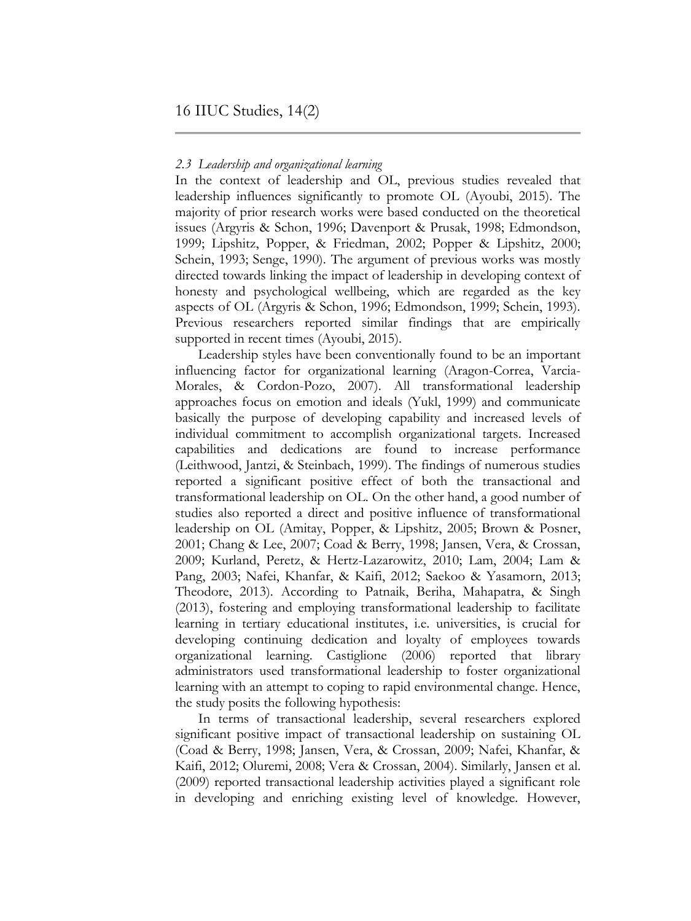#### *2.3 Leadership and organizational learning*

In the context of leadership and OL, previous studies revealed that leadership influences significantly to promote OL (Ayoubi, 2015). The majority of prior research works were based conducted on the theoretical issues (Argyris & Schon, 1996; Davenport & Prusak, 1998; Edmondson, 1999; Lipshitz, Popper, & Friedman, 2002; Popper & Lipshitz, 2000; Schein, 1993; Senge, 1990). The argument of previous works was mostly directed towards linking the impact of leadership in developing context of honesty and psychological wellbeing, which are regarded as the key aspects of OL (Argyris & Schon, 1996; Edmondson, 1999; Schein, 1993). Previous researchers reported similar findings that are empirically supported in recent times (Ayoubi, 2015).

Leadership styles have been conventionally found to be an important influencing factor for organizational learning (Aragon-Correa, Varcia-Morales, & Cordon-Pozo, 2007). All transformational leadership approaches focus on emotion and ideals (Yukl, 1999) and communicate basically the purpose of developing capability and increased levels of individual commitment to accomplish organizational targets. Increased capabilities and dedications are found to increase performance (Leithwood, Jantzi, & Steinbach, 1999). The findings of numerous studies reported a significant positive effect of both the transactional and transformational leadership on OL. On the other hand, a good number of studies also reported a direct and positive influence of transformational leadership on OL (Amitay, Popper, & Lipshitz, 2005; Brown & Posner, 2001; Chang & Lee, 2007; Coad & Berry, 1998; Jansen, Vera, & Crossan, 2009; Kurland, Peretz, & Hertz-Lazarowitz, 2010; Lam, 2004; Lam & Pang, 2003; Nafei, Khanfar, & Kaifi, 2012; Saekoo & Yasamorn, 2013; Theodore, 2013). According to Patnaik, Beriha, Mahapatra, & Singh (2013), fostering and employing transformational leadership to facilitate learning in tertiary educational institutes, i.e. universities, is crucial for developing continuing dedication and loyalty of employees towards organizational learning. Castiglione (2006) reported that library administrators used transformational leadership to foster organizational learning with an attempt to coping to rapid environmental change. Hence, the study posits the following hypothesis:

In terms of transactional leadership, several researchers explored significant positive impact of transactional leadership on sustaining OL (Coad & Berry, 1998; Jansen, Vera, & Crossan, 2009; Nafei, Khanfar, & Kaifi, 2012; Oluremi, 2008; Vera & Crossan, 2004). Similarly, Jansen et al. (2009) reported transactional leadership activities played a significant role in developing and enriching existing level of knowledge. However,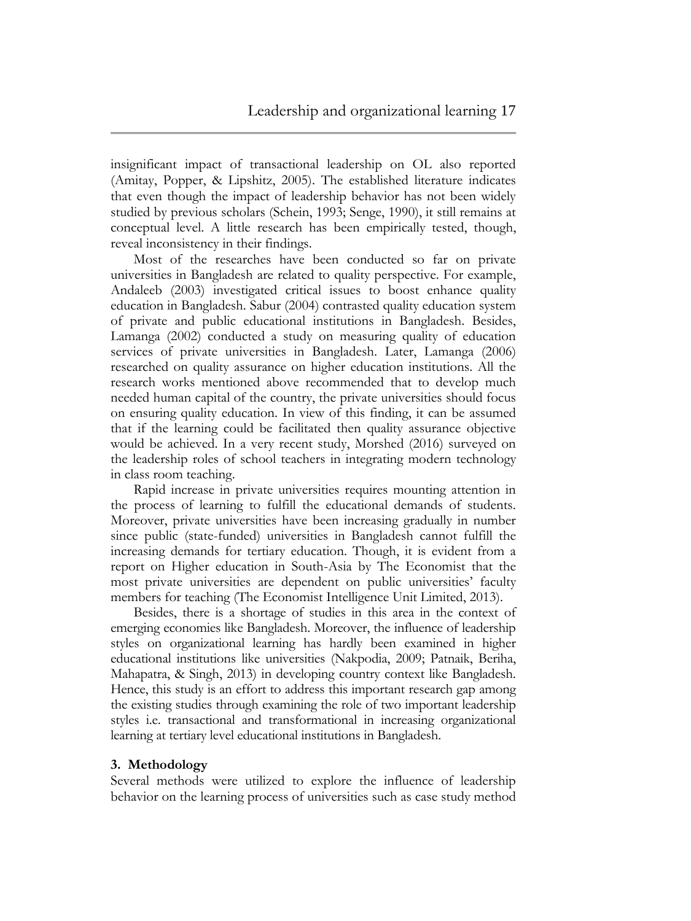insignificant impact of transactional leadership on OL also reported (Amitay, Popper, & Lipshitz, 2005). The established literature indicates that even though the impact of leadership behavior has not been widely studied by previous scholars (Schein, 1993; Senge, 1990), it still remains at conceptual level. A little research has been empirically tested, though, reveal inconsistency in their findings.

Most of the researches have been conducted so far on private universities in Bangladesh are related to quality perspective. For example, Andaleeb (2003) investigated critical issues to boost enhance quality education in Bangladesh. Sabur (2004) contrasted quality education system of private and public educational institutions in Bangladesh. Besides, Lamanga (2002) conducted a study on measuring quality of education services of private universities in Bangladesh. Later, Lamanga (2006) researched on quality assurance on higher education institutions. All the research works mentioned above recommended that to develop much needed human capital of the country, the private universities should focus on ensuring quality education. In view of this finding, it can be assumed that if the learning could be facilitated then quality assurance objective would be achieved. In a very recent study, Morshed (2016) surveyed on the leadership roles of school teachers in integrating modern technology in class room teaching.

Rapid increase in private universities requires mounting attention in the process of learning to fulfill the educational demands of students. Moreover, private universities have been increasing gradually in number since public (state-funded) universities in Bangladesh cannot fulfill the increasing demands for tertiary education. Though, it is evident from a report on Higher education in South-Asia by The Economist that the most private universities are dependent on public universities' faculty members for teaching (The Economist Intelligence Unit Limited, 2013).

Besides, there is a shortage of studies in this area in the context of emerging economies like Bangladesh. Moreover, the influence of leadership styles on organizational learning has hardly been examined in higher educational institutions like universities (Nakpodia, 2009; Patnaik, Beriha, Mahapatra, & Singh, 2013) in developing country context like Bangladesh. Hence, this study is an effort to address this important research gap among the existing studies through examining the role of two important leadership styles i.e. transactional and transformational in increasing organizational learning at tertiary level educational institutions in Bangladesh.

#### **3. Methodology**

Several methods were utilized to explore the influence of leadership behavior on the learning process of universities such as case study method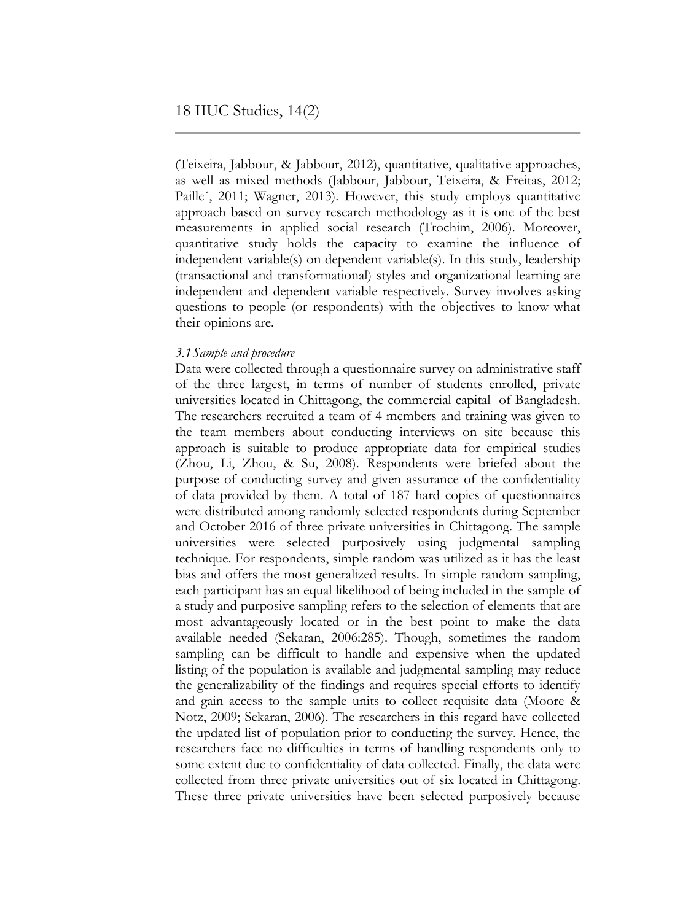(Teixeira, Jabbour, & Jabbour, 2012), quantitative, qualitative approaches, as well as mixed methods (Jabbour, Jabbour, Teixeira, & Freitas, 2012; Paille´, 2011; Wagner, 2013). However, this study employs quantitative approach based on survey research methodology as it is one of the best measurements in applied social research (Trochim, 2006). Moreover, quantitative study holds the capacity to examine the influence of independent variable(s) on dependent variable(s). In this study, leadership (transactional and transformational) styles and organizational learning are independent and dependent variable respectively. Survey involves asking questions to people (or respondents) with the objectives to know what their opinions are.

#### *3.1Sample and procedure*

Data were collected through a questionnaire survey on administrative staff of the three largest, in terms of number of students enrolled, private universities located in Chittagong, the commercial capital of Bangladesh. The researchers recruited a team of 4 members and training was given to the team members about conducting interviews on site because this approach is suitable to produce appropriate data for empirical studies (Zhou, Li, Zhou, & Su, 2008). Respondents were briefed about the purpose of conducting survey and given assurance of the confidentiality of data provided by them. A total of 187 hard copies of questionnaires were distributed among randomly selected respondents during September and October 2016 of three private universities in Chittagong. The sample universities were selected purposively using judgmental sampling technique. For respondents, simple random was utilized as it has the least bias and offers the most generalized results. In simple random sampling, each participant has an equal likelihood of being included in the sample of a study and purposive sampling refers to the selection of elements that are most advantageously located or in the best point to make the data available needed (Sekaran, 2006:285). Though, sometimes the random sampling can be difficult to handle and expensive when the updated listing of the population is available and judgmental sampling may reduce the generalizability of the findings and requires special efforts to identify and gain access to the sample units to collect requisite data (Moore & Notz, 2009; Sekaran, 2006). The researchers in this regard have collected the updated list of population prior to conducting the survey. Hence, the researchers face no difficulties in terms of handling respondents only to some extent due to confidentiality of data collected. Finally, the data were collected from three private universities out of six located in Chittagong. These three private universities have been selected purposively because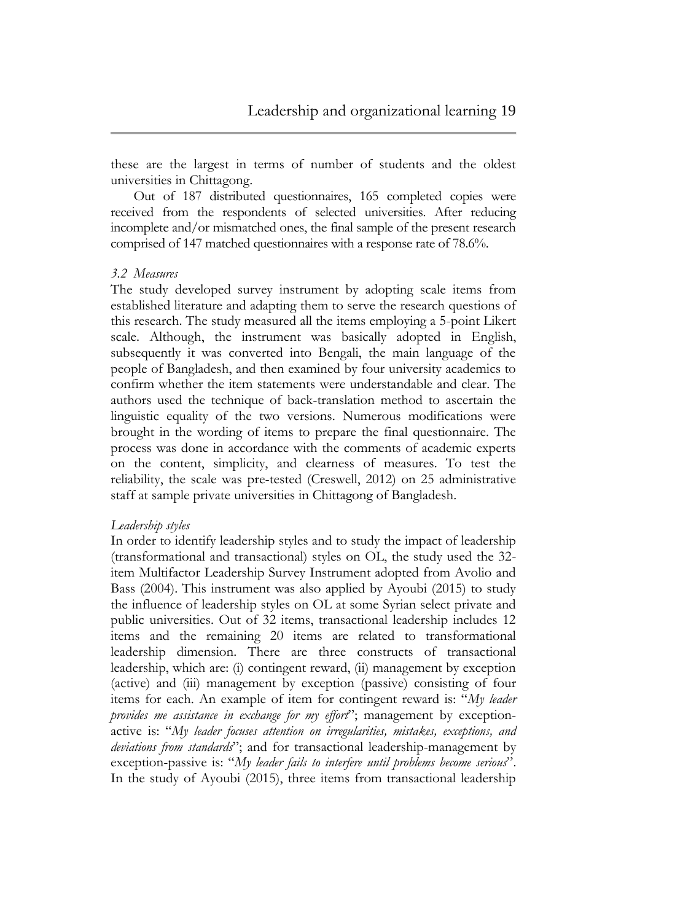these are the largest in terms of number of students and the oldest universities in Chittagong.

Out of 187 distributed questionnaires, 165 completed copies were received from the respondents of selected universities. After reducing incomplete and/or mismatched ones, the final sample of the present research comprised of 147 matched questionnaires with a response rate of 78.6%.

#### *3.2 Measures*

The study developed survey instrument by adopting scale items from established literature and adapting them to serve the research questions of this research. The study measured all the items employing a 5-point Likert scale. Although, the instrument was basically adopted in English, subsequently it was converted into Bengali, the main language of the people of Bangladesh, and then examined by four university academics to confirm whether the item statements were understandable and clear. The authors used the technique of back-translation method to ascertain the linguistic equality of the two versions. Numerous modifications were brought in the wording of items to prepare the final questionnaire. The process was done in accordance with the comments of academic experts on the content, simplicity, and clearness of measures. To test the reliability, the scale was pre-tested (Creswell, 2012) on 25 administrative staff at sample private universities in Chittagong of Bangladesh.

#### *Leadership styles*

In order to identify leadership styles and to study the impact of leadership (transformational and transactional) styles on OL, the study used the 32 item Multifactor Leadership Survey Instrument adopted from Avolio and Bass (2004). This instrument was also applied by Ayoubi (2015) to study the influence of leadership styles on OL at some Syrian select private and public universities. Out of 32 items, transactional leadership includes 12 items and the remaining 20 items are related to transformational leadership dimension. There are three constructs of transactional leadership, which are: (i) contingent reward, (ii) management by exception (active) and (iii) management by exception (passive) consisting of four items for each. An example of item for contingent reward is: "*My leader provides me assistance in exchange for my effort*"; management by exceptionactive is: "*My leader focuses attention on irregularities, mistakes, exceptions, and deviations from standards*"; and for transactional leadership-management by exception-passive is: "*My leader fails to interfere until problems become serious*". In the study of Ayoubi (2015), three items from transactional leadership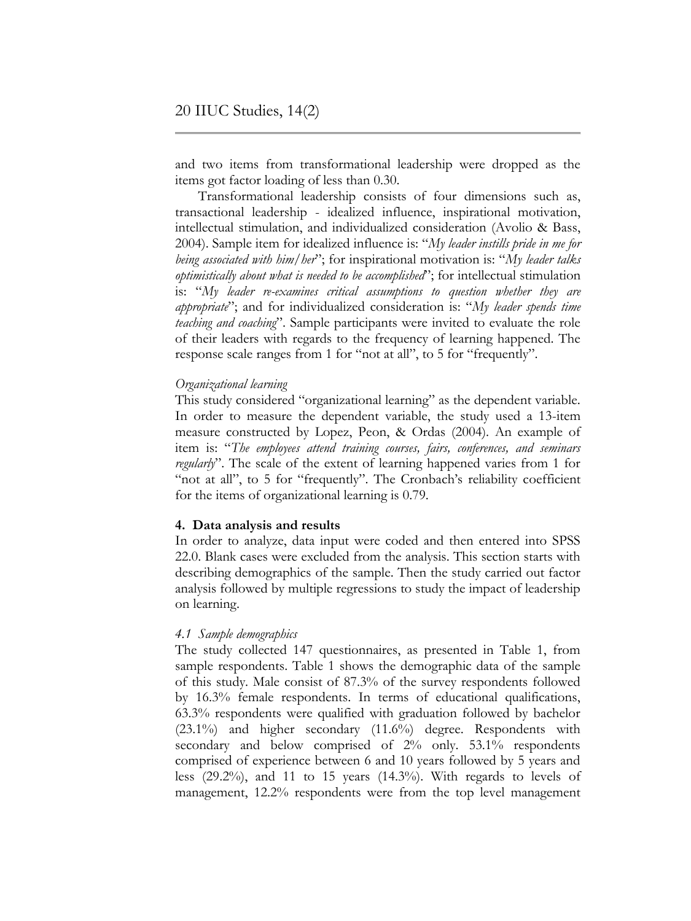and two items from transformational leadership were dropped as the items got factor loading of less than 0.30.

Transformational leadership consists of four dimensions such as, transactional leadership - idealized influence, inspirational motivation, intellectual stimulation, and individualized consideration (Avolio & Bass, 2004). Sample item for idealized influence is: "*My leader instills pride in me for being associated with him/her*"; for inspirational motivation is: "*My leader talks optimistically about what is needed to be accomplished*"; for intellectual stimulation is: "*My leader re-examines critical assumptions to question whether they are appropriate*"; and for individualized consideration is: "*My leader spends time teaching and coaching*". Sample participants were invited to evaluate the role of their leaders with regards to the frequency of learning happened. The response scale ranges from 1 for "not at all", to 5 for "frequently".

#### *Organizational learning*

This study considered "organizational learning" as the dependent variable. In order to measure the dependent variable, the study used a 13-item measure constructed by Lopez, Peon, & Ordas (2004). An example of item is: "*The employees attend training courses, fairs, conferences, and seminars regularly*". The scale of the extent of learning happened varies from 1 for "not at all", to 5 for "frequently". The Cronbach's reliability coefficient for the items of organizational learning is 0.79.

#### **4. Data analysis and results**

In order to analyze, data input were coded and then entered into SPSS 22.0. Blank cases were excluded from the analysis. This section starts with describing demographics of the sample. Then the study carried out factor analysis followed by multiple regressions to study the impact of leadership on learning.

#### *4.1 Sample demographics*

The study collected 147 questionnaires, as presented in Table 1, from sample respondents. Table 1 shows the demographic data of the sample of this study. Male consist of 87.3% of the survey respondents followed by 16.3% female respondents. In terms of educational qualifications, 63.3% respondents were qualified with graduation followed by bachelor (23.1%) and higher secondary (11.6%) degree. Respondents with secondary and below comprised of 2% only. 53.1% respondents comprised of experience between 6 and 10 years followed by 5 years and less (29.2%), and 11 to 15 years (14.3%). With regards to levels of management, 12.2% respondents were from the top level management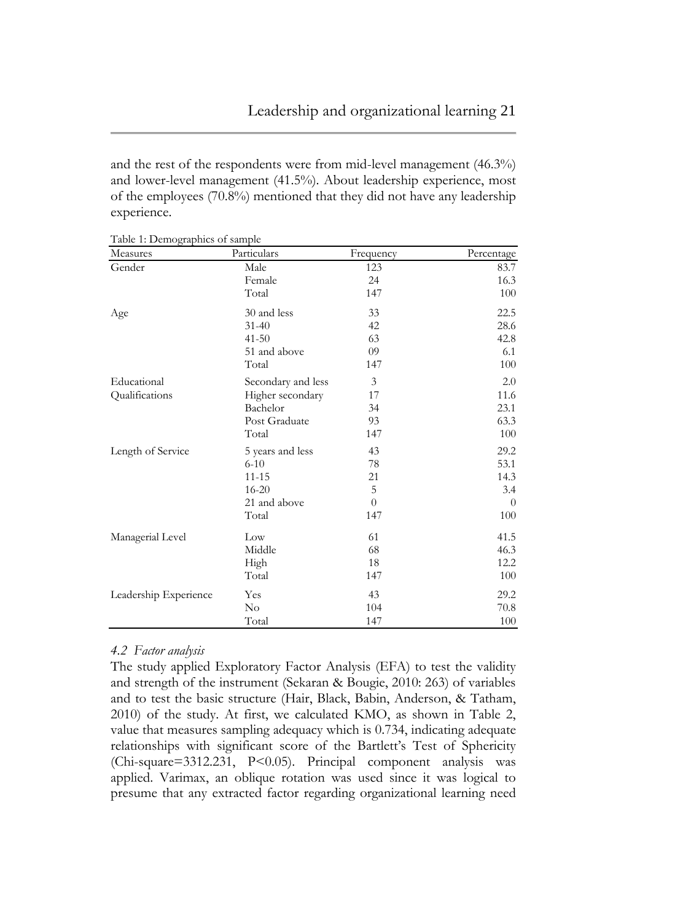and the rest of the respondents were from mid-level management (46.3%) and lower-level management (41.5%). About leadership experience, most of the employees (70.8%) mentioned that they did not have any leadership experience.

| Measures              | Particulars        | Frequency      | Percentage |
|-----------------------|--------------------|----------------|------------|
| Gender                | Male               | 123            | 83.7       |
|                       | Female             | 24             | 16.3       |
|                       | Total              | 147            | 100        |
| Age                   | 30 and less        | 33             | 22.5       |
|                       | $31 - 40$          | 42             | 28.6       |
|                       | $41 - 50$          | 63             | 42.8       |
|                       | 51 and above       | 09             | 6.1        |
|                       | Total              | 147            | 100        |
| Educational           | Secondary and less | 3              | 2.0        |
| Qualifications        | Higher secondary   | 17             | 11.6       |
|                       | Bachelor           | 34             | 23.1       |
|                       | Post Graduate      | 93             | 63.3       |
|                       | Total              | 147            | 100        |
| Length of Service     | 5 years and less   | 43             | 29.2       |
|                       | $6-10$             | 78             | 53.1       |
|                       | $11 - 15$          | 21             | 14.3       |
|                       | $16 - 20$          | 5              | 3.4        |
|                       | 21 and above       | $\overline{0}$ | $\theta$   |
|                       | Total              | 147            | 100        |
| Managerial Level      | Low                | 61             | 41.5       |
|                       | Middle             | 68             | 46.3       |
|                       | High               | 18             | 12.2       |
|                       | Total              | 147            | 100        |
| Leadership Experience | Yes                | 43             | 29.2       |
|                       | $\rm No$           | 104            | 70.8       |
|                       | Total              | 147            | 100        |

Table 1: Demographics of sample

#### *4.2 Factor analysis*

The study applied Exploratory Factor Analysis (EFA) to test the validity and strength of the instrument (Sekaran & Bougie, 2010: 263) of variables and to test the basic structure (Hair, Black, Babin, Anderson, & Tatham, 2010) of the study. At first, we calculated KMO, as shown in Table 2, value that measures sampling adequacy which is 0.734, indicating adequate relationships with significant score of the Bartlett's Test of Sphericity (Chi-square=3312.231, P<0.05). Principal component analysis was applied. Varimax, an oblique rotation was used since it was logical to presume that any extracted factor regarding organizational learning need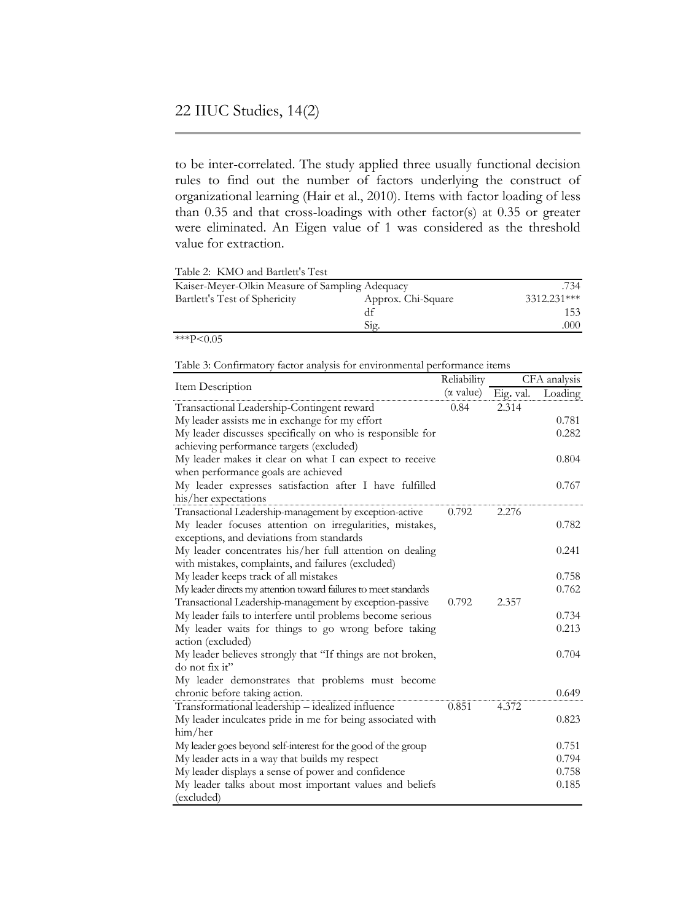to be inter-correlated. The study applied three usually functional decision rules to find out the number of factors underlying the construct of organizational learning (Hair et al., 2010). Items with factor loading of less than 0.35 and that cross-loadings with other factor(s) at 0.35 or greater were eliminated. An Eigen value of 1 was considered as the threshold value for extraction.

Table 2:KMO and Bartlett's Test

| Kaiser-Meyer-Olkin Measure of Sampling Adequacy | .734               |             |
|-------------------------------------------------|--------------------|-------------|
| Bartlett's Test of Sphericity                   | Approx. Chi-Square | 3312.231*** |
|                                                 |                    | 153         |
|                                                 | Sig.               | .000        |

\*\*\*P<0.05

|  | Table 3: Confirmatory factor analysis for environmental performance items |  |
|--|---------------------------------------------------------------------------|--|
|  |                                                                           |  |

|                                                                  | Reliability              |           | CFA analysis |
|------------------------------------------------------------------|--------------------------|-----------|--------------|
| Item Description                                                 | $(\alpha \text{ value})$ | Eig. val. | Loading      |
| Transactional Leadership-Contingent reward                       | 0.84                     | 2.314     |              |
| My leader assists me in exchange for my effort                   |                          |           | 0.781        |
| My leader discusses specifically on who is responsible for       |                          |           | 0.282        |
| achieving performance targets (excluded)                         |                          |           |              |
| My leader makes it clear on what I can expect to receive         |                          |           | 0.804        |
| when performance goals are achieved                              |                          |           |              |
| My leader expresses satisfaction after I have fulfilled          |                          |           | 0.767        |
| his/her expectations                                             |                          |           |              |
| Transactional Leadership-management by exception-active          | 0.792                    | 2.276     |              |
| My leader focuses attention on irregularities, mistakes,         |                          |           | 0.782        |
| exceptions, and deviations from standards                        |                          |           |              |
| My leader concentrates his/her full attention on dealing         |                          |           | 0.241        |
| with mistakes, complaints, and failures (excluded)               |                          |           |              |
| My leader keeps track of all mistakes                            |                          |           | 0.758        |
| My leader directs my attention toward failures to meet standards |                          |           | 0.762        |
| Transactional Leadership-management by exception-passive         | 0.792                    | 2.357     |              |
| My leader fails to interfere until problems become serious       |                          |           | 0.734        |
| My leader waits for things to go wrong before taking             |                          |           | 0.213        |
| action (excluded)                                                |                          |           |              |
| My leader believes strongly that "If things are not broken,      |                          |           | 0.704        |
| $\frac{1}{2}$ do not fix it"                                     |                          |           |              |
| My leader demonstrates that problems must become                 |                          |           |              |
| chronic before taking action.                                    |                          |           | 0.649        |
| Transformational leadership - idealized influence                | 0.851                    | 4.372     |              |
| My leader inculcates pride in me for being associated with       |                          |           | 0.823        |
| him/her                                                          |                          |           |              |
| My leader goes beyond self-interest for the good of the group    |                          |           | 0.751        |
| My leader acts in a way that builds my respect                   |                          |           | 0.794        |
| My leader displays a sense of power and confidence               |                          |           | 0.758        |
| My leader talks about most important values and beliefs          |                          |           | 0.185        |
| (excluded)                                                       |                          |           |              |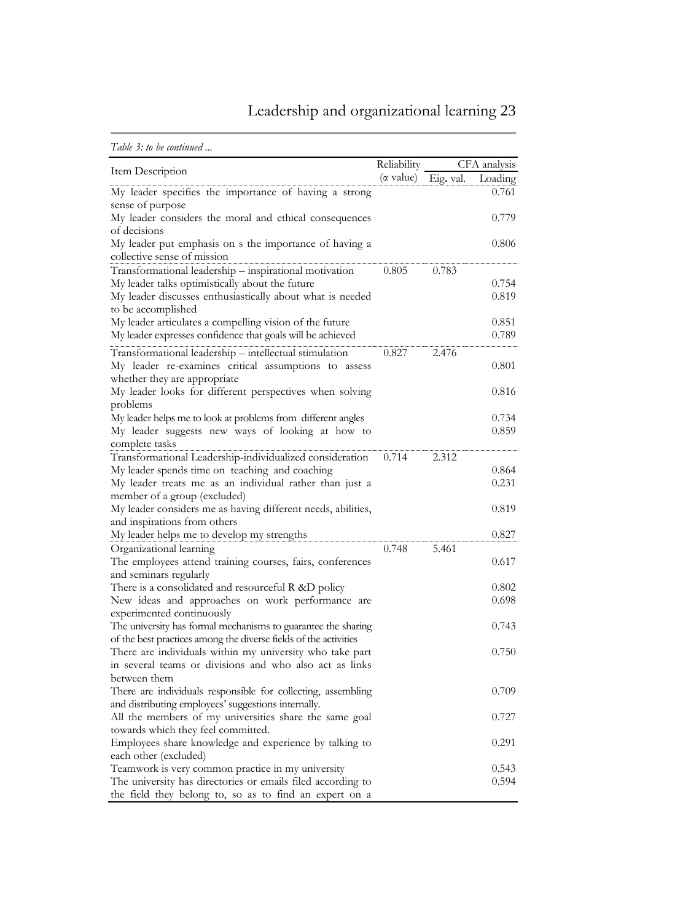# Leadership and organizational learning 23

# *Table 3: to be continued ...*

|                                                                                                               | Reliability              |           | CFA analysis |
|---------------------------------------------------------------------------------------------------------------|--------------------------|-----------|--------------|
| Item Description                                                                                              | $(\alpha \text{ value})$ | Eig. val. | Loading      |
| My leader specifies the importance of having a strong                                                         |                          |           | 0.761        |
| sense of purpose                                                                                              |                          |           |              |
| My leader considers the moral and ethical consequences                                                        |                          |           | 0.779        |
| of decisions                                                                                                  |                          |           |              |
| My leader put emphasis on s the importance of having a                                                        |                          |           | 0.806        |
| collective sense of mission                                                                                   |                          |           |              |
| Transformational leadership – inspirational motivation                                                        | 0.805                    | 0.783     |              |
| My leader talks optimistically about the future                                                               |                          |           | 0.754        |
| My leader discusses enthusiastically about what is needed                                                     |                          |           | 0.819        |
| to be accomplished                                                                                            |                          |           |              |
| My leader articulates a compelling vision of the future                                                       |                          |           | 0.851        |
| My leader expresses confidence that goals will be achieved                                                    |                          |           | 0.789        |
| Transformational leadership – intellectual stimulation                                                        | 0.827                    | 2.476     |              |
| My leader re-examines critical assumptions to assess                                                          |                          |           | 0.801        |
| whether they are appropriate                                                                                  |                          |           |              |
| My leader looks for different perspectives when solving                                                       |                          |           | 0.816        |
| problems                                                                                                      |                          |           |              |
| My leader helps me to look at problems from different angles                                                  |                          |           | 0.734        |
| My leader suggests new ways of looking at how to                                                              |                          |           | 0.859        |
| complete tasks                                                                                                |                          |           |              |
| Transformational Leadership-individualized consideration                                                      | 0.714                    | 2.312     |              |
| My leader spends time on teaching and coaching                                                                |                          |           | 0.864        |
| My leader treats me as an individual rather than just a                                                       |                          |           | 0.231        |
| member of a group (excluded)                                                                                  |                          |           |              |
| My leader considers me as having different needs, abilities,                                                  |                          |           | 0.819        |
| and inspirations from others                                                                                  |                          |           |              |
| My leader helps me to develop my strengths                                                                    |                          |           | 0.827        |
| Organizational learning                                                                                       | 0.748                    | 5.461     |              |
| The employees attend training courses, fairs, conferences                                                     |                          |           | 0.617        |
| and seminars regularly                                                                                        |                          |           |              |
| There is a consolidated and resourceful R &D policy                                                           |                          |           | 0.802        |
| New ideas and approaches on work performance are                                                              |                          |           | 0.698        |
| experimented continuously                                                                                     |                          |           |              |
| The university has formal mechanisms to guarantee the sharing                                                 |                          |           | 0.743        |
| of the best practices among the diverse fields of the activities                                              |                          |           |              |
| There are individuals within my university who take part                                                      |                          |           | 0.750        |
| in several teams or divisions and who also act as links                                                       |                          |           |              |
| between them                                                                                                  |                          |           |              |
| There are individuals responsible for collecting, assembling                                                  |                          |           | 0.709        |
| and distributing employees' suggestions internally.<br>All the members of my universities share the same goal |                          |           | 0.727        |
| towards which they feel committed.                                                                            |                          |           |              |
| Employees share knowledge and experience by talking to                                                        |                          |           | 0.291        |
| each other (excluded)                                                                                         |                          |           |              |
| Teamwork is very common practice in my university                                                             |                          |           | 0.543        |
| The university has directories or emails filed according to                                                   |                          |           | 0.594        |
| the field they belong to, so as to find an expert on a                                                        |                          |           |              |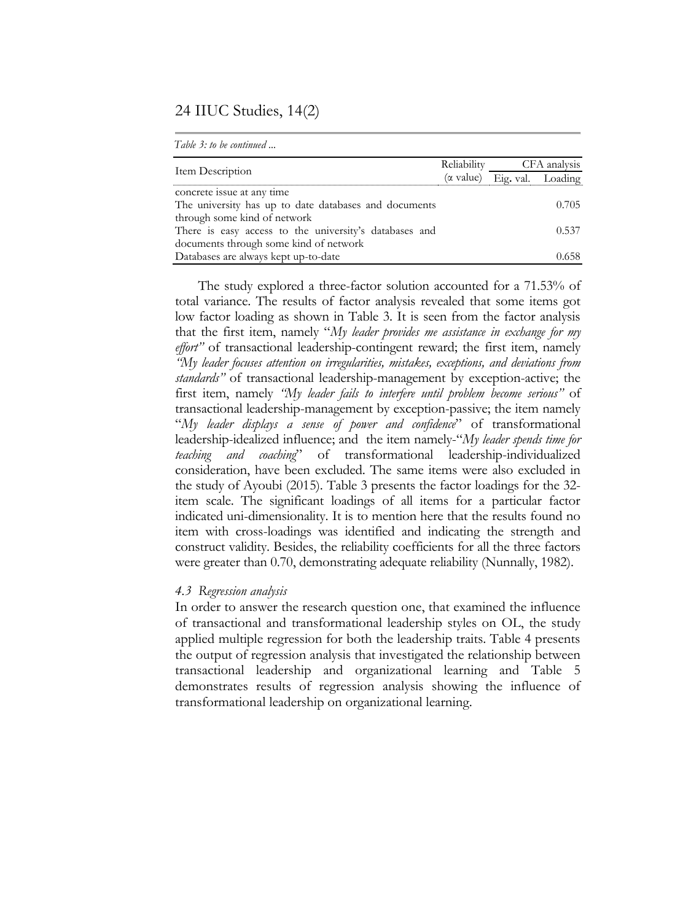# 24 IIUC Studies, 14(2)

| Table 3: to be continued                               |             |                                            |       |
|--------------------------------------------------------|-------------|--------------------------------------------|-------|
|                                                        | Reliability | CFA analysis                               |       |
| Item Description                                       |             | $(\alpha \text{ value})$ Eig. val. Loading |       |
| concrete issue at any time                             |             |                                            |       |
| The university has up to date databases and documents  |             |                                            | 0.705 |
| through some kind of network                           |             |                                            |       |
| There is easy access to the university's databases and |             |                                            | 0.537 |
| documents through some kind of network                 |             |                                            |       |
| Databases are always kept up-to-date                   |             |                                            | 0.658 |

The study explored a three-factor solution accounted for a 71.53% of total variance. The results of factor analysis revealed that some items got low factor loading as shown in Table 3. It is seen from the factor analysis that the first item, namely "*My leader provides me assistance in exchange for my effort"* of transactional leadership-contingent reward; the first item, namely *"My leader focuses attention on irregularities, mistakes, exceptions, and deviations from standards"* of transactional leadership-management by exception-active; the first item, namely *"My leader fails to interfere until problem become serious"* of transactional leadership-management by exception-passive; the item namely "*My leader displays a sense of power and confidence*" of transformational leadership-idealized influence; and the item namely-"*My leader spends time for teaching and coaching*" of transformational leadership-individualized consideration, have been excluded. The same items were also excluded in the study of Ayoubi (2015). Table 3 presents the factor loadings for the 32 item scale. The significant loadings of all items for a particular factor indicated uni-dimensionality. It is to mention here that the results found no item with cross-loadings was identified and indicating the strength and construct validity. Besides, the reliability coefficients for all the three factors were greater than 0.70, demonstrating adequate reliability (Nunnally, 1982).

#### *4.3 Regression analysis*

In order to answer the research question one, that examined the influence of transactional and transformational leadership styles on OL, the study applied multiple regression for both the leadership traits. Table 4 presents the output of regression analysis that investigated the relationship between transactional leadership and organizational learning and Table 5 demonstrates results of regression analysis showing the influence of transformational leadership on organizational learning.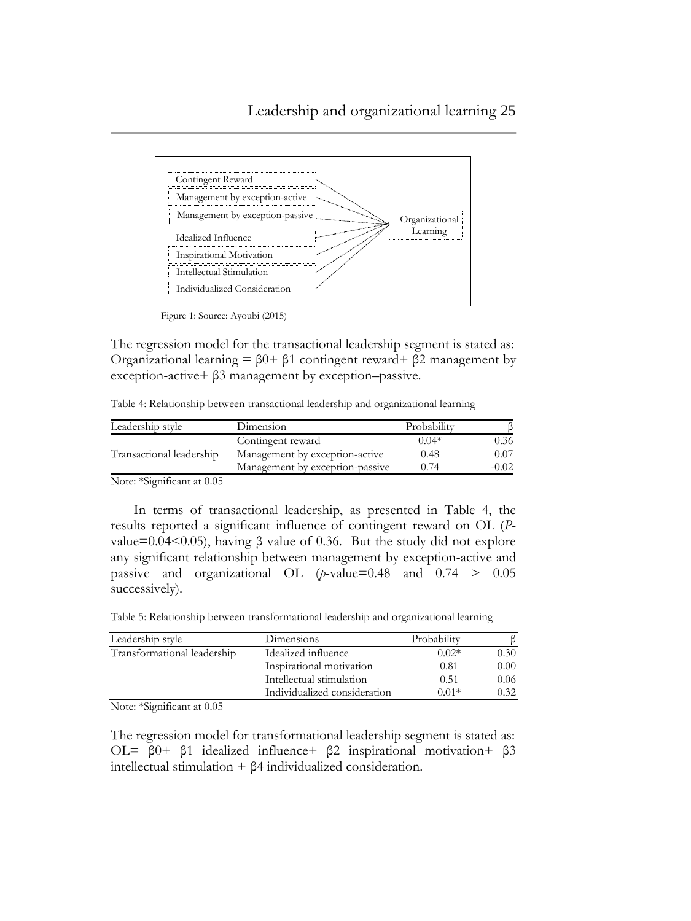

Figure 1: Source: Ayoubi (2015)

The regression model for the transactional leadership segment is stated as: Organizational learning = β0+ β1 contingent reward+ β2 management by exception-active+ β3 management by exception–passive.

Table 4: Relationship between transactional leadership and organizational learning

| Leadership style         | Dimension                       | Probability |         |
|--------------------------|---------------------------------|-------------|---------|
|                          | Contingent reward               | $0.04*$     | 0.36    |
| Transactional leadership | Management by exception-active  | 0.48        | 0.07    |
|                          | Management by exception-passive | 0.74        | $-0.02$ |

Note: \*Significant at 0.05

In terms of transactional leadership, as presented in Table 4, the results reported a significant influence of contingent reward on OL (*P*value=0.04<0.05), having β value of 0.36. But the study did not explore any significant relationship between management by exception-active and passive and organizational OL  $(p$ -value=0.48 and  $0.74 > 0.05$ successively).

Table 5: Relationship between transformational leadership and organizational learning

| Leadership style                                   | Dimensions                   | Probability |      |
|----------------------------------------------------|------------------------------|-------------|------|
| Transformational leadership<br>Idealized influence |                              | $0.02*$     | 0.30 |
|                                                    | Inspirational motivation     | 0.81        | 0.00 |
|                                                    | Intellectual stimulation     | 0.51        | 0.06 |
|                                                    | Individualized consideration | $0.01*$     | 0.32 |

Note: \*Significant at 0.05

The regression model for transformational leadership segment is stated as: OL**=** β0+ β1 idealized influence+ β2 inspirational motivation+ β3 intellectual stimulation + β4 individualized consideration.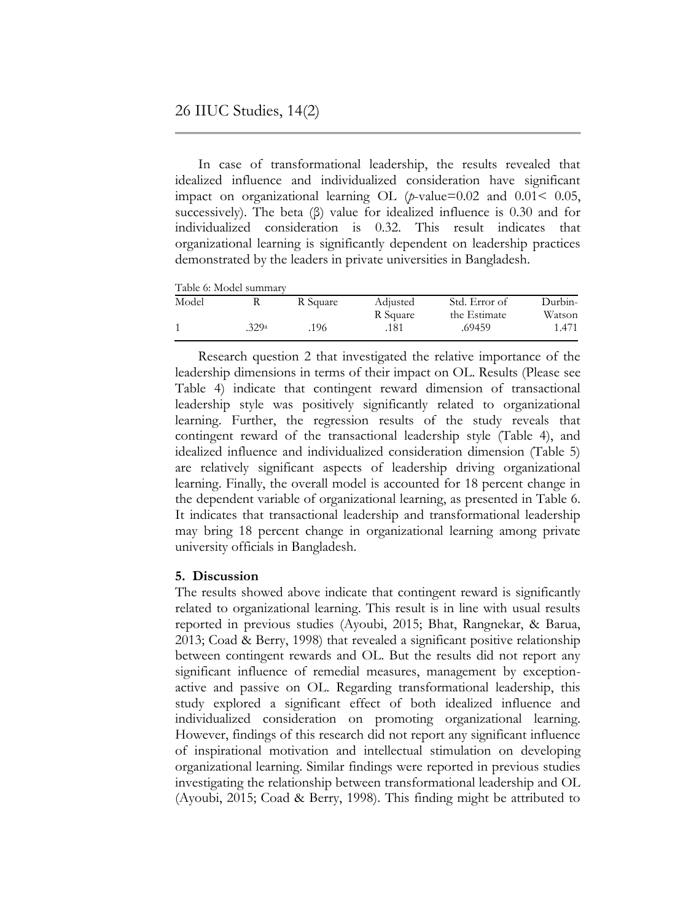In case of transformational leadership, the results revealed that idealized influence and individualized consideration have significant impact on organizational learning OL (*p*-value=0.02 and 0.01< 0.05, successively). The beta (β) value for idealized influence is 0.30 and for individualized consideration is 0.32. This result indicates that organizational learning is significantly dependent on leadership practices demonstrated by the leaders in private universities in Bangladesh.

| Table 6: Model summary |       |          |          |               |         |  |
|------------------------|-------|----------|----------|---------------|---------|--|
| Model                  |       | R Square | Adjusted | Std. Error of | Durbin- |  |
|                        |       |          | R Square | the Estimate  | Watson  |  |
|                        | .329a | .196     | .181     | .69459        | 1.471   |  |

Research question 2 that investigated the relative importance of the leadership dimensions in terms of their impact on OL. Results (Please see Table 4) indicate that contingent reward dimension of transactional leadership style was positively significantly related to organizational learning. Further, the regression results of the study reveals that contingent reward of the transactional leadership style (Table 4), and idealized influence and individualized consideration dimension (Table 5) are relatively significant aspects of leadership driving organizational learning. Finally, the overall model is accounted for 18 percent change in the dependent variable of organizational learning, as presented in Table 6. It indicates that transactional leadership and transformational leadership may bring 18 percent change in organizational learning among private university officials in Bangladesh.

#### **5. Discussion**

The results showed above indicate that contingent reward is significantly related to organizational learning. This result is in line with usual results reported in previous studies (Ayoubi, 2015; Bhat, Rangnekar, & Barua, 2013; Coad & Berry, 1998) that revealed a significant positive relationship between contingent rewards and OL. But the results did not report any significant influence of remedial measures, management by exceptionactive and passive on OL. Regarding transformational leadership, this study explored a significant effect of both idealized influence and individualized consideration on promoting organizational learning. However, findings of this research did not report any significant influence of inspirational motivation and intellectual stimulation on developing organizational learning. Similar findings were reported in previous studies investigating the relationship between transformational leadership and OL (Ayoubi, 2015; Coad & Berry, 1998). This finding might be attributed to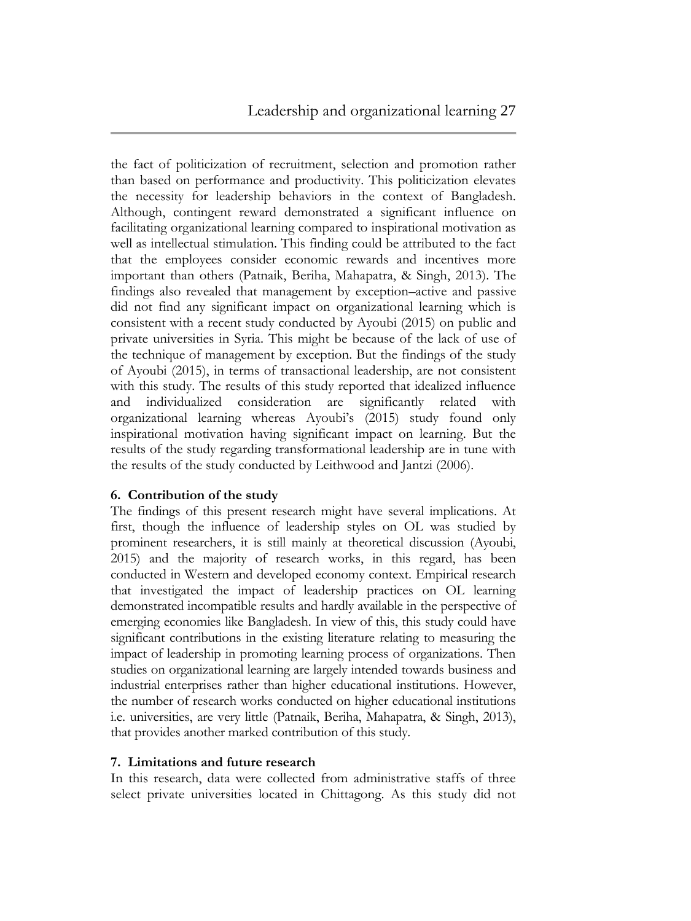the fact of politicization of recruitment, selection and promotion rather than based on performance and productivity. This politicization elevates the necessity for leadership behaviors in the context of Bangladesh. Although, contingent reward demonstrated a significant influence on facilitating organizational learning compared to inspirational motivation as well as intellectual stimulation. This finding could be attributed to the fact that the employees consider economic rewards and incentives more important than others (Patnaik, Beriha, Mahapatra, & Singh, 2013). The findings also revealed that management by exception–active and passive did not find any significant impact on organizational learning which is consistent with a recent study conducted by Ayoubi (2015) on public and private universities in Syria. This might be because of the lack of use of the technique of management by exception. But the findings of the study of Ayoubi (2015), in terms of transactional leadership, are not consistent with this study. The results of this study reported that idealized influence and individualized consideration are significantly related with organizational learning whereas Ayoubi"s (2015) study found only inspirational motivation having significant impact on learning. But the results of the study regarding transformational leadership are in tune with the results of the study conducted by Leithwood and Jantzi (2006).

# **6. Contribution of the study**

The findings of this present research might have several implications. At first, though the influence of leadership styles on OL was studied by prominent researchers, it is still mainly at theoretical discussion (Ayoubi, 2015) and the majority of research works, in this regard, has been conducted in Western and developed economy context. Empirical research that investigated the impact of leadership practices on OL learning demonstrated incompatible results and hardly available in the perspective of emerging economies like Bangladesh. In view of this, this study could have significant contributions in the existing literature relating to measuring the impact of leadership in promoting learning process of organizations. Then studies on organizational learning are largely intended towards business and industrial enterprises rather than higher educational institutions. However, the number of research works conducted on higher educational institutions i.e. universities, are very little (Patnaik, Beriha, Mahapatra, & Singh, 2013), that provides another marked contribution of this study.

#### **7. Limitations and future research**

In this research, data were collected from administrative staffs of three select private universities located in Chittagong. As this study did not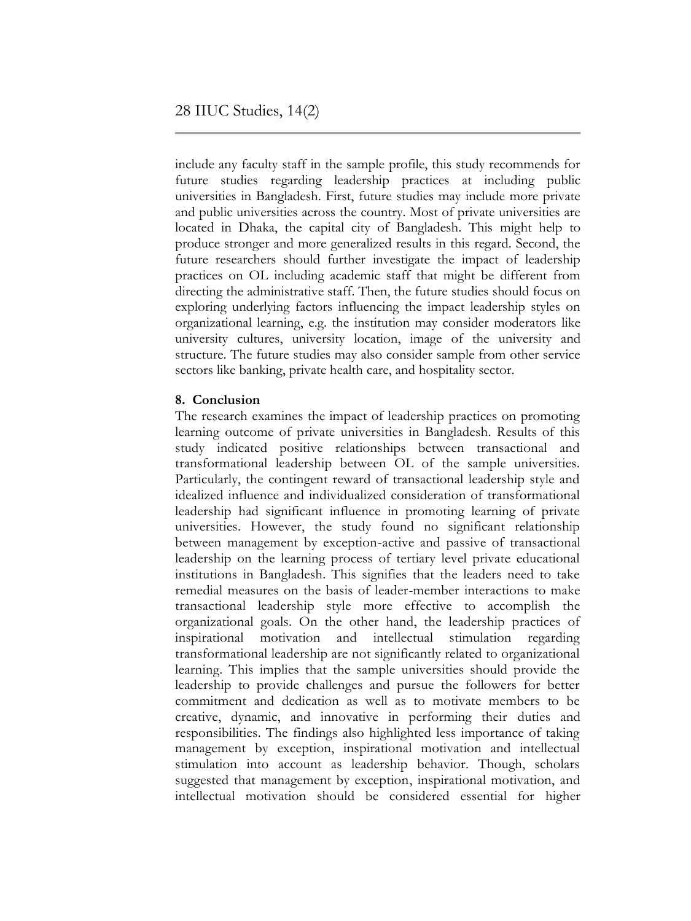include any faculty staff in the sample profile, this study recommends for future studies regarding leadership practices at including public universities in Bangladesh. First, future studies may include more private and public universities across the country. Most of private universities are located in Dhaka, the capital city of Bangladesh. This might help to produce stronger and more generalized results in this regard. Second, the future researchers should further investigate the impact of leadership practices on OL including academic staff that might be different from directing the administrative staff. Then, the future studies should focus on exploring underlying factors influencing the impact leadership styles on organizational learning, e.g. the institution may consider moderators like university cultures, university location, image of the university and structure. The future studies may also consider sample from other service sectors like banking, private health care, and hospitality sector.

#### **8. Conclusion**

The research examines the impact of leadership practices on promoting learning outcome of private universities in Bangladesh. Results of this study indicated positive relationships between transactional and transformational leadership between OL of the sample universities. Particularly, the contingent reward of transactional leadership style and idealized influence and individualized consideration of transformational leadership had significant influence in promoting learning of private universities. However, the study found no significant relationship between management by exception-active and passive of transactional leadership on the learning process of tertiary level private educational institutions in Bangladesh. This signifies that the leaders need to take remedial measures on the basis of leader-member interactions to make transactional leadership style more effective to accomplish the organizational goals. On the other hand, the leadership practices of inspirational motivation and intellectual stimulation regarding transformational leadership are not significantly related to organizational learning. This implies that the sample universities should provide the leadership to provide challenges and pursue the followers for better commitment and dedication as well as to motivate members to be creative, dynamic, and innovative in performing their duties and responsibilities. The findings also highlighted less importance of taking management by exception, inspirational motivation and intellectual stimulation into account as leadership behavior. Though, scholars suggested that management by exception, inspirational motivation, and intellectual motivation should be considered essential for higher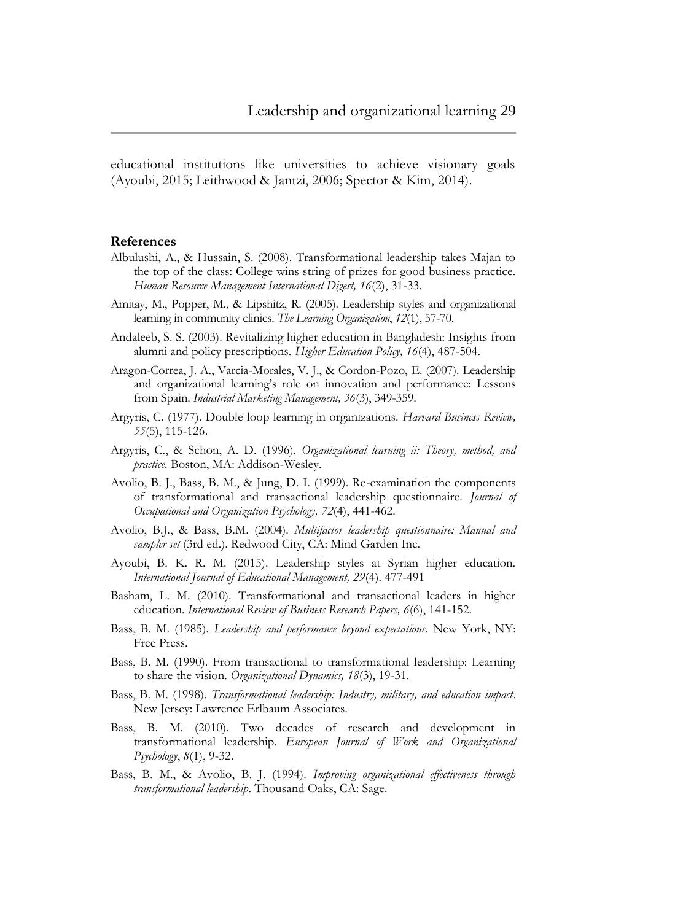educational institutions like universities to achieve visionary goals (Ayoubi, 2015; Leithwood & Jantzi, 2006; Spector & Kim, 2014).

#### **References**

- Albulushi, A., & Hussain, S. (2008). Transformational leadership takes Majan to the top of the class: College wins string of prizes for good business practice. *Human Resource Management International Digest, 16*(2), 31-33.
- Amitay, M., Popper, M., & Lipshitz, R. (2005). Leadership styles and organizational learning in community clinics. *The Learning Organization*, *12*(1), 57-70.
- Andaleeb, S. S. (2003). Revitalizing higher education in Bangladesh: Insights from alumni and policy prescriptions. *Higher Education Policy, 16*(4), 487-504.
- Aragon-Correa, J. A., Varcia-Morales, V. J., & Cordon-Pozo, E. (2007). Leadership and organizational learning"s role on innovation and performance: Lessons from Spain. *Industrial Marketing Management, 36*(3), 349-359.
- Argyris, C. (1977). Double loop learning in organizations. *Harvard Business Review, 55*(5), 115-126.
- Argyris, C., & Schon, A. D. (1996). *Organizational learning ii: Theory, method, and practice.* Boston, MA: Addison-Wesley.
- Avolio, B. J., Bass, B. M., & Jung, D. I. (1999). Re-examination the components of transformational and transactional leadership questionnaire. *Journal of Occupational and Organization Psychology, 72*(4), 441-462.
- Avolio, B.J., & Bass, B.M. (2004). *Multifactor leadership questionnaire: Manual and sampler set* (3rd ed.). Redwood City, CA: Mind Garden Inc.
- Ayoubi, B. K. R. M. (2015). Leadership styles at Syrian higher education. *International Journal of Educational Management, 29*(4). 477-491
- Basham, L. M. (2010). Transformational and transactional leaders in higher education. *International Review of Business Research Papers, 6*(6), 141-152.
- Bass, B. M. (1985). *Leadership and performance beyond expectations.* New York, NY: Free Press.
- Bass, B. M. (1990). From transactional to transformational leadership: Learning to share the vision. *Organizational Dynamics, 18*(3), 19-31.
- Bass, B. M. (1998). *Transformational leadership: Industry, military, and education impact*. New Jersey: Lawrence Erlbaum Associates.
- Bass, B. M. (2010). Two decades of research and development in transformational leadership. *European Journal of Work and Organizational Psychology*, *8*(1), 9-32.
- Bass, B. M., & Avolio, B. J. (1994). *Improving organizational effectiveness through transformational leadership*. Thousand Oaks, CA: Sage.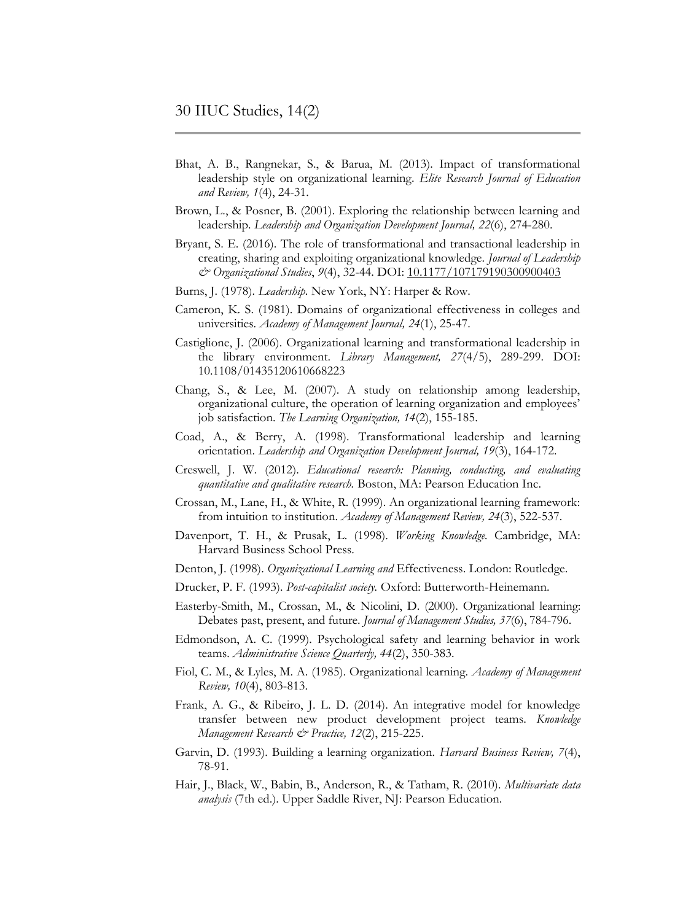- Bhat, A. B., Rangnekar, S., & Barua, M. (2013). Impact of transformational leadership style on organizational learning. *Elite Research Journal of Education and Review, 1*(4), 24-31.
- Brown, L., & Posner, B. (2001). Exploring the relationship between learning and leadership. *Leadership and Organization Development Journal, 22*(6), 274-280.
- Bryant, S. E. (2016). The role of transformational and transactional leadership in creating, sharing and exploiting organizational knowledge. *Journal of Leadership & Organizational Studies*, *9*(4), 32-44. DOI: [10.1177/107179190300900403](http://dx.doi.org/10.1177%2F107179190300900403)
- Burns, J. (1978). *Leadership.* New York, NY: Harper & Row.
- Cameron, K. S. (1981). Domains of organizational effectiveness in colleges and universities. *Academy of Management Journal, 24*(1), 25-47.
- Castiglione, J. (2006). Organizational learning and transformational leadership in the library environment. *Library Management, 27*(4/5), 289-299. DOI: 10.1108/01435120610668223
- Chang, S., & Lee, M. (2007). A study on relationship among leadership, organizational culture, the operation of learning organization and employees" job satisfaction. *The Learning Organization, 14*(2), 155-185.
- Coad, A., & Berry, A. (1998). Transformational leadership and learning orientation. *Leadership and Organization Development Journal, 19*(3), 164-172.
- Creswell, J. W. (2012). *Educational research: Planning, conducting, and evaluating quantitative and qualitative research.* Boston, MA: Pearson Education Inc.
- Crossan, M., Lane, H., & White, R. (1999). An organizational learning framework: from intuition to institution. *Academy of Management Review, 24*(3), 522-537.
- Davenport, T. H., & Prusak, L. (1998). *Working Knowledge.* Cambridge, MA: Harvard Business School Press.
- Denton, J. (1998). *Organizational Learning and* Effectiveness. London: Routledge.
- Drucker, P. F. (1993). *Post-capitalist society.* Oxford: Butterworth-Heinemann.
- Easterby-Smith, M., Crossan, M., & Nicolini, D. (2000). Organizational learning: Debates past, present, and future. *Journal of Management Studies, 37*(6), 784-796.
- Edmondson, A. C. (1999). Psychological safety and learning behavior in work teams. *Administrative Science Quarterly, 44*(2), 350-383.
- Fiol, C. M., & Lyles, M. A. (1985). Organizational learning. *Academy of Management Review, 10*(4), 803-813.
- Frank, A. G., & Ribeiro, J. L. D. (2014). An integrative model for knowledge transfer between new product development project teams. *Knowledge Management Research & Practice, 12*(2), 215-225.
- Garvin, D. (1993). Building a learning organization. *Harvard Business Review, 7*(4), 78-91.
- Hair, J., Black, W., Babin, B., Anderson, R., & Tatham, R. (2010). *Multivariate data analysis* (7th ed.). Upper Saddle River, NJ: Pearson Education.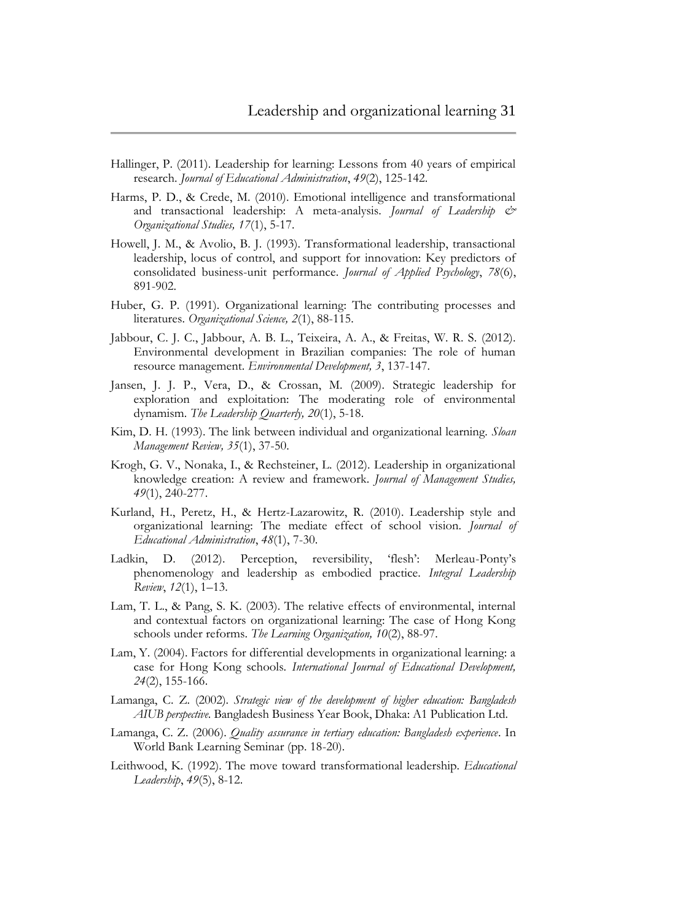- Hallinger, P. (2011). Leadership for learning: Lessons from 40 years of empirical research. *Journal of Educational Administration*, *49*(2), 125-142.
- Harms, P. D., & Crede, M. (2010). Emotional intelligence and transformational and transactional leadership: A meta-analysis. *Journal of Leadership & Organizational Studies, 17*(1), 5-17.
- Howell, J. M., & Avolio, B. J. (1993). Transformational leadership, transactional leadership, locus of control, and support for innovation: Key predictors of consolidated business-unit performance. *Journal of Applied Psychology*, *78*(6), 891-902.
- Huber, G. P. (1991). Organizational learning: The contributing processes and literatures. *Organizational Science, 2*(1), 88-115.
- Jabbour, C. J. C., Jabbour, A. B. L., Teixeira, A. A., & Freitas, W. R. S. (2012). Environmental development in Brazilian companies: The role of human resource management. *Environmental Development, 3*, 137-147.
- Jansen, J. J. P., Vera, D., & Crossan, M. (2009). Strategic leadership for exploration and exploitation: The moderating role of environmental dynamism. *The Leadership Quarterly, 20*(1), 5-18.
- Kim, D. H. (1993). The link between individual and organizational learning. *Sloan Management Review, 35*(1), 37-50.
- Krogh, G. V., Nonaka, I., & Rechsteiner, L. (2012). Leadership in organizational knowledge creation: A review and framework. *Journal of Management Studies, 49*(1), 240-277.
- Kurland, H., Peretz, H., & Hertz-Lazarowitz, R. (2010). Leadership style and organizational learning: The mediate effect of school vision. *Journal of Educational Administration*, *48*(1), 7-30.
- Ladkin, D. (2012). Perception, reversibility, 'flesh': Merleau-Ponty's phenomenology and leadership as embodied practice. *Integral Leadership Review*, *12*(1), 1–13.
- Lam, T. L., & Pang, S. K. (2003). The relative effects of environmental, internal and contextual factors on organizational learning: The case of Hong Kong schools under reforms. *The Learning Organization, 10*(2), 88-97.
- Lam, Y. (2004). Factors for differential developments in organizational learning: a case for Hong Kong schools. *International Journal of Educational Development, 24*(2), 155-166.
- Lamanga, C. Z. (2002). *Strategic view of the development of higher education: Bangladesh AIUB perspective*. Bangladesh Business Year Book, Dhaka: A1 Publication Ltd.
- Lamanga, C. Z. (2006). *Quality assurance in tertiary education: Bangladesh experience*. In World Bank Learning Seminar (pp. 18-20).
- Leithwood, K. (1992). The move toward transformational leadership. *Educational Leadership*, *49*(5), 8-12.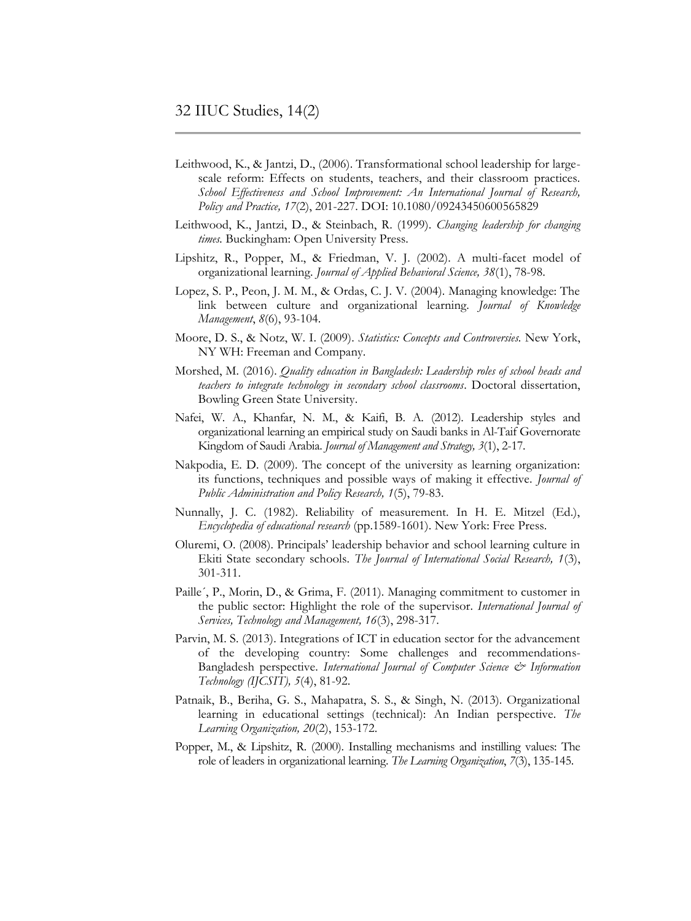- Leithwood, K., & Jantzi, D., (2006). Transformational school leadership for largescale reform: Effects on students, teachers, and their classroom practices. *School Effectiveness and School Improvement: An International Journal of Research, Policy and Practice, 17*(2), 201-227. DOI: 10.1080/09243450600565829
- Leithwood, K., Jantzi, D., & Steinbach, R. (1999). *Changing leadership for changing times.* Buckingham: Open University Press.
- Lipshitz, R., Popper, M., & Friedman, V. J. (2002). A multi-facet model of organizational learning. *Journal of Applied Behavioral Science, 38*(1), 78-98.
- Lopez, S. P., Peon, J. M. M., & Ordas, C. J. V. (2004). Managing knowledge: The link between culture and organizational learning. *Journal of Knowledge Management*, *8*(6), 93-104.
- Moore, D. S., & Notz, W. I. (2009). *Statistics: Concepts and Controversies.* New York, NY WH: Freeman and Company.
- Morshed, M. (2016). *Quality education in Bangladesh: Leadership roles of school heads and teachers to integrate technology in secondary school classrooms*. Doctoral dissertation, Bowling Green State University.
- Nafei, W. A., Khanfar, N. M., & Kaifi, B. A. (2012). Leadership styles and organizational learning an empirical study on Saudi banks in Al-Taif Governorate Kingdom of Saudi Arabia. *Journal of Management and Strategy, 3*(1), 2-17.
- Nakpodia, E. D. (2009). The concept of the university as learning organization: its functions, techniques and possible ways of making it effective. *Journal of Public Administration and Policy Research, 1*(5), 79-83.
- Nunnally, J. C. (1982). Reliability of measurement. In H. E. Mitzel (Ed.), *Encyclopedia of educational research* (pp.1589-1601). New York: Free Press.
- Oluremi, O. (2008). Principals" leadership behavior and school learning culture in Ekiti State secondary schools. *The Journal of International Social Research, 1*(3), 301-311.
- Paille´, P., Morin, D., & Grima, F. (2011). Managing commitment to customer in the public sector: Highlight the role of the supervisor. *International Journal of Services, Technology and Management, 16*(3), 298-317.
- Parvin, M. S. (2013). Integrations of ICT in education sector for the advancement of the developing country: Some challenges and recommendations-Bangladesh perspective. *International Journal of Computer Science & Information Technology (IJCSIT), 5*(4), 81-92.
- Patnaik, B., Beriha, G. S., Mahapatra, S. S., & Singh, N. (2013). Organizational learning in educational settings (technical): An Indian perspective. *The Learning Organization, 20*(2), 153-172.
- Popper, M., & Lipshitz, R. (2000). Installing mechanisms and instilling values: The role of leaders in organizational learning. *The Learning Organization*, *7*(3), 135-145.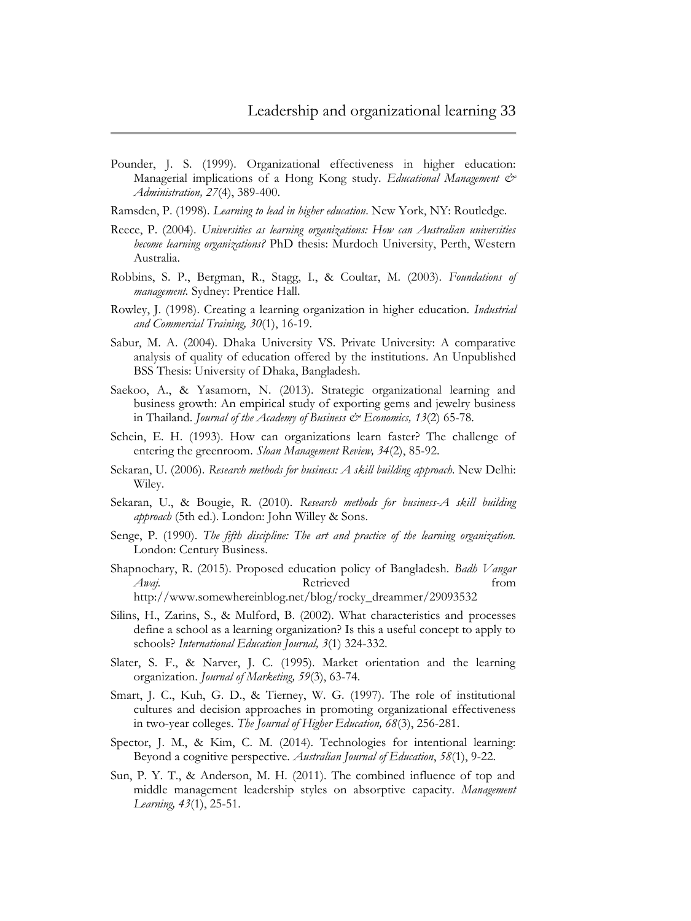- Pounder, J. S. (1999). Organizational effectiveness in higher education: Managerial implications of a Hong Kong study. *Educational Management & Administration, 27*(4), 389-400.
- Ramsden, P. (1998). *Learning to lead in higher education*. New York, NY: Routledge.
- Reece, P. (2004). *Universities as learning organizations: How can Australian universities become learning organizations?* PhD thesis: Murdoch University, Perth, Western Australia.
- Robbins, S. P., Bergman, R., Stagg, I., & Coultar, M. (2003). *Foundations of management.* Sydney: Prentice Hall.
- Rowley, J. (1998). Creating a learning organization in higher education. *Industrial and Commercial Training, 30*(1), 16-19.
- Sabur, M. A. (2004). Dhaka University VS. Private University: A comparative analysis of quality of education offered by the institutions. An Unpublished BSS Thesis: University of Dhaka, Bangladesh.
- Saekoo, A., & Yasamorn, N. (2013). Strategic organizational learning and business growth: An empirical study of exporting gems and jewelry business in Thailand. *Journal of the Academy of Business & Economics, 13*(2) 65-78.
- Schein, E. H. (1993). How can organizations learn faster? The challenge of entering the greenroom. *Sloan Management Review, 34*(2), 85-92.
- Sekaran, U. (2006). *Research methods for business: A skill building approach.* New Delhi: Wiley.
- Sekaran, U., & Bougie, R. (2010). *Research methods for business-A skill building approach* (5th ed.). London: John Willey & Sons.
- Senge, P. (1990). *The fifth discipline: The art and practice of the learning organization.* London: Century Business.
- Shapnochary, R. (2015). Proposed education policy of Bangladesh. *Badh Vangar Awaj.* Retrieved from http://www.somewhereinblog.net/blog/rocky\_dreammer/29093532
- Silins, H., Zarins, S., & Mulford, B. (2002). What characteristics and processes define a school as a learning organization? Is this a useful concept to apply to schools? *International Education Journal, 3*(1) 324-332.
- Slater, S. F., & Narver, J. C. (1995). Market orientation and the learning organization. *Journal of Marketing, 59*(3), 63-74.
- Smart, J. C., Kuh, G. D., & Tierney, W. G. (1997). The role of institutional cultures and decision approaches in promoting organizational effectiveness in two-year colleges. *The Journal of Higher Education, 68*(3), 256-281.
- Spector, J. M., & Kim, C. M. (2014). Technologies for intentional learning: Beyond a cognitive perspective. *Australian Journal of Education*, *58*(1), 9-22.
- Sun, P. Y. T., & Anderson, M. H. (2011). The combined influence of top and middle management leadership styles on absorptive capacity. *Management Learning, 43*(1), 25-51.